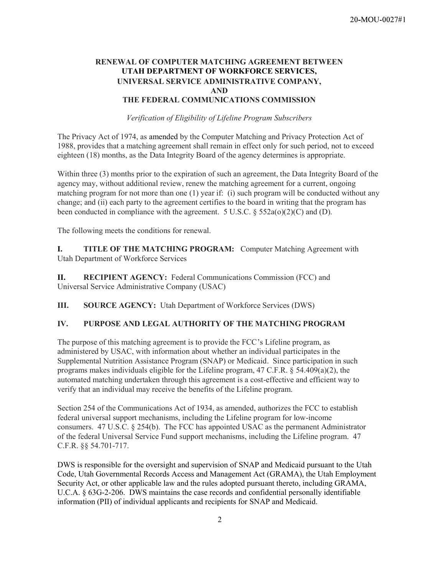### RENEWAL OF COMPUTER MATCHING AGREEMENT BETWEEN UTAH DEPARTMENT OF WORKFORCE SERVICES, UNIVERSAL SERVICE ADMINISTRATIVE COMPANY, AND THE FEDERAL COMMUNICATIONS COMMISSION

Verification of Eligibility of Lifeline Program Subscribers

The Privacy Act of 1974, as amended by the Computer Matching and Privacy Protection Act of 1988, provides that a matching agreement shall remain in effect only for such period, not to exceed eighteen (18) months, as the Data Integrity Board of the agency determines is appropriate.

Within three (3) months prior to the expiration of such an agreement, the Data Integrity Board of the agency may, without additional review, renew the matching agreement for a current, ongoing matching program for not more than one (1) year if: (i) such program will be conducted without any change; and (ii) each party to the agreement certifies to the board in writing that the program has been conducted in compliance with the agreement. 5 U.S.C.  $\S$  552a(o)(2)(C) and (D).

The following meets the conditions for renewal.

I. TITLE OF THE MATCHING PROGRAM: Computer Matching Agreement with Utah Department of Workforce Services

II. RECIPIENT AGENCY: Federal Communications Commission (FCC) and Universal Service Administrative Company (USAC)

III. SOURCE AGENCY: Utah Department of Workforce Services (DWS)

### IV. PURPOSE AND LEGAL AUTHORITY OF THE MATCHING PROGRAM

The purpose of this matching agreement is to provide the FCC's Lifeline program, as administered by USAC, with information about whether an individual participates in the Supplemental Nutrition Assistance Program (SNAP) or Medicaid. Since participation in such programs makes individuals eligible for the Lifeline program, 47 C.F.R. § 54.409(a)(2), the automated matching undertaken through this agreement is a cost-effective and efficient way to verify that an individual may receive the benefits of the Lifeline program.

Section 254 of the Communications Act of 1934, as amended, authorizes the FCC to establish federal universal support mechanisms, including the Lifeline program for low-income consumers.  $47 \text{ U.S.C. }$   $§$  254(b). The FCC has appointed USAC as the permanent Administrator of the federal Universal Service Fund support mechanisms, including the Lifeline program. 47 C.F.R. §§ 54.701-717.

DWS is responsible for the oversight and supervision of SNAP and Medicaid pursuant to the Utah Code, Utah Governmental Records Access and Management Act (GRAMA), the Utah Employment Security Act, or other applicable law and the rules adopted pursuant thereto, including GRAMA, U.C.A. § 63G-2-206. DWS maintains the case records and confidential personally identifiable information (PII) of individual applicants and recipients for SNAP and Medicaid.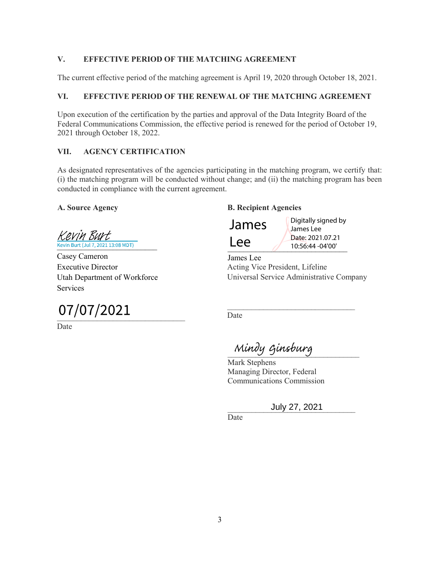## V. EFFECTIVE PERIOD OF THE MATCHING AGREEMENT

The current effective period of the matching agreement is April 19, 2020 through October 18, 2021.

### VI. EFFECTIVE PERIOD OF THE RENEWAL OF THE MATCHING AGREEMENT

Upon execution of the certification by the parties and approval of the Data Integrity Board of the Federal Communications Commission, the effective period is renewed for the period of October 19, 2021 through October 18, 2022.

### VII. AGENCY CERTIFICATION

As designated representatives of the agencies participating in the matching program, we certify that: (i) the matching program will be conducted without change; and (ii) the matching program has been conducted in compliance with the current agreement.

Kevin Burt Kevin Burt (Jul 7, 2021 13:08 MDT)

Casey Cameron Executive Director Utah Department of Workforce Services

# 07/07/2021

Date

# A. Source Agency B. Recipient Agencies



 $LCE$  10:56:44 -04'00' Digitally signed by James Lee Date: 2021.07.21

James Lee Acting Vice President, Lifeline Universal Service Administrative Company

Date

\_\_\_\_\_\_\_\_\_\_\_\_\_\_\_\_\_\_\_\_\_\_\_\_\_\_\_\_\_\_\_\_\_ Mindy Ginsburg

Mark Stephens Managing Director, Federal Communications Commission

# \_\_\_\_\_\_\_\_\_\_\_\_\_\_\_\_\_\_\_\_\_\_\_\_\_\_\_\_\_\_\_\_ July 27, 2021

Date